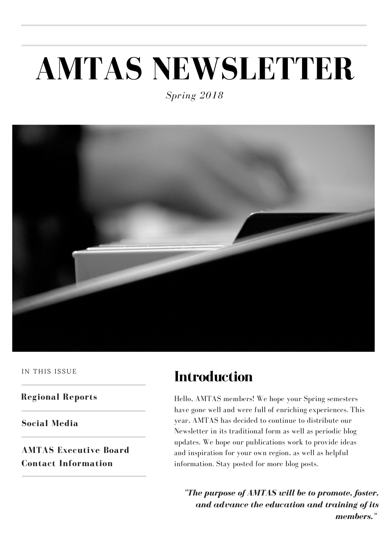# **AMTAS NEWSLETTER**

*Spring 2018*



IN THIS ISSUE

**Regional Reports**

**Social Media**

**AMTAS Executive Board Contact Information**

#### **Introduction**

Hello, AMTAS members! We hope your Spring semesters have gone well and were full of enriching experiences. This year, AMTAS has decided to continue to distribute our Newsletter in its traditional form as well as periodic blog updates. We hope our publications work to provide ideas and inspiration for your own region, as well as helpful information. Stay posted for more blog posts.

*"The purpose of AMTAS will be to promote, foster, and advance the education and training of its members."*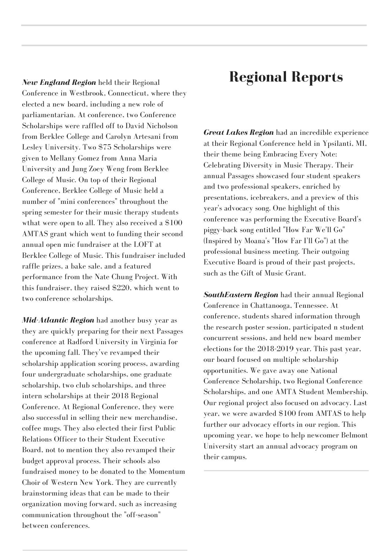*New England Region* held their Regional Conference in Westbrook, Connecticut, where they elected a new board, including a new role of parliamentarian. At conference, two Conference Scholarships were raffled off to David Nicholson from Berklee College and Carolyn Artesani from Lesley University. Two \$75 Scholarships were given to Mellany Gomez from Anna Maria University and Jung Zoey Weng from Berklee College of Music. On top of their Regional Conference, Berklee College of Music held a number of "mini conferences" throughout the spring semester for their music therapy students wthat were open to all. They also received a \$100 AMTAS grant which went to funding their second annual open mic fundraiser at the LOFT at Berklee College of Music. This fundraiser included raffle prizes, a bake sale, and a featured performance from the Nate Chung Project. With this fundraiser, they raised \$220, which went to two conference scholarships.

*Mid-Atlantic Region* had another busy year as they are quickly preparing for their next Passages conference at Radford University in Virginia for the upcoming fall. They've revamped their scholarship application scoring process, awarding four undergraduate scholarships, one graduate scholarship, two club scholarships, and three intern scholarships at their 2018 Regional Conference. At Regional Conference, they were also successful in selling their new merchandise, coffee mugs. They also elected their first Public Relations Officer to their Student Executive Board, not to mention they also revamped their budget approval process. Their schools also fundraised money to be donated to the Momentum Choir of Western New York. They are currently brainstorming ideas that can be made to their organization moving forward, such as increasing communication throughout the "off-season" between conferences.

#### **Regional Reports**

*Great Lakes Region* had an incredible experience at their Regional Conference held in Ypsilanti, MI, their theme being Embracing Every Note: Celebrating Diversity in Music Therapy. Their annual Passages showcased four student speakers and two professional speakers, enriched by presentations, icebreakers, and a preview of this year's advocacy song. One highlight of this conference was performing the Executive Board's piggy-back song entitled "How Far We'll Go" (Inspired by Moana's "How Far I'll Go") at the professional business meeting. Their outgoing Executive Board is proud of their past projects, such as the Gift of Music Grant.

*SouthEastern Region* had their annual Regional Conference in Chattanooga, Tennessee. At conference, students shared information through the research poster session, participated n student concurrent sessions, and held new board member elections for the 2018-2019 year. This past year, our board focused on multiple scholarship opportunities. We gave away one National Conference Scholarship, two Regional Conference Scholarships, and one AMTA Student Membership. Our regional project also focused on advocacy. Last year, we were awarded \$100 from AMTAS to help further our advocacy efforts in our region. This upcoming year, we hope to help newcomer Belmont University start an annual advocacy program on their campus.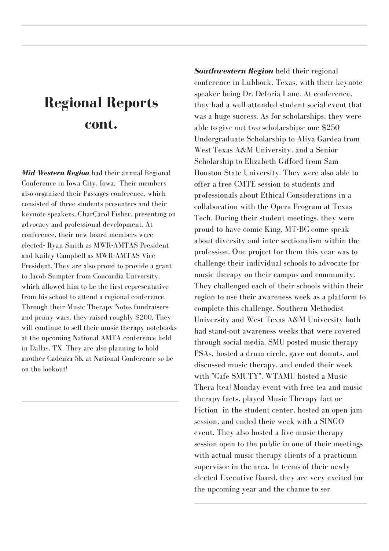#### **Regional Reports cont.**

*Mid-Western Region* had their annual Regional Conference in Iowa City, Iowa. Their members also organized their Passages conference, which consisted of three students presenters and their keynote speakers, CharCarol Fisher, presenting on advocacy and professional development. At conference, their new board members were elected- Ryan Smith as MWR-AMTAS President and Kailey Campbell as MWR-AMTAS Vice President. They are also proud to provide a grant to Jacob Sumpter from Concordia University, which allowed him to be the first representative from his school to attend a regional conference. Through their Music Therapy Notes fundraisers and penny wars, they raised roughly \$200. They will continue to sell their music therapy notebooks at the upcoming National AMTA conference held in Dallas, TX. They are also planning to hold another Cadenza 5K at National Conference so be on the lookout!

*Southwestern Region* held their regional conference in Lubbock, Texas, with their keynote speaker being Dr. Deforia Lane. At conference, they had a well-attended student social event that was a huge success. As for scholarships, they were able to give out two scholarships- one \$250 Undergraduate Scholarship to Aliya Gardea from West Texas A&M University, and a Senior Scholarship to Elizabeth Gifford from Sam Houston State University. They were also able to offer a free CMTE session to students and professionals about Ethical Considerations in a collaboration with the Opera Program at Texas Tech. During their student meetings, they were proud to have comic King, MT-BC come speak about diversity and inter sectionalism within the profession. One project for them this year was to challenge their individual schools to advocate for music therapy on their campus and community. They challenged each of their schools within their region to use their awareness week as a platform to complete this challenge. Southern Methodist University and West Texas A&M University both had stand-out awareness weeks that were covered through social media. SMU posted music therapy PSAs, hosted a drum circle, gave out donuts, and discussed music therapy, and ended their week with "Cafe SMUTY". WTAMU hosted a Music Thera {tea} Monday event with free tea and music therapy facts, played Music Therapy fact or Fiction in the student center, hosted an open jam session, and ended their week with a SINGO event. They also hosted a live music therapy session open to the public in one of their meetings with actual music therapy clients of a practicum supervisor in the area. In terms of their newly elected Executive Board, they are very excited for the upcoming year and the chance to ser